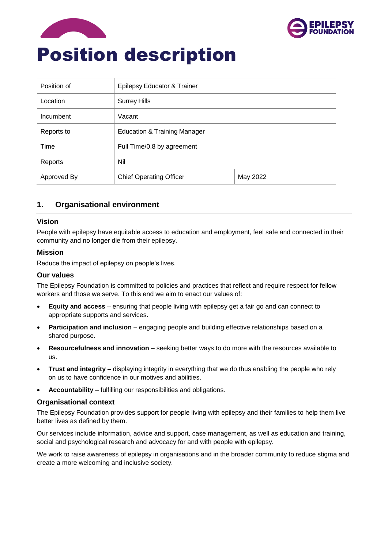



| Position of | Epilepsy Educator & Trainer             |          |  |
|-------------|-----------------------------------------|----------|--|
| Location    | <b>Surrey Hills</b>                     |          |  |
| Incumbent   | Vacant                                  |          |  |
| Reports to  | <b>Education &amp; Training Manager</b> |          |  |
| Time        | Full Time/0.8 by agreement              |          |  |
| Reports     | Nil                                     |          |  |
| Approved By | <b>Chief Operating Officer</b>          | May 2022 |  |

# **1. Organisational environment**

#### **Vision**

People with epilepsy have equitable access to education and employment, feel safe and connected in their community and no longer die from their epilepsy.

#### **Mission**

Reduce the impact of epilepsy on people's lives.

#### **Our values**

The Epilepsy Foundation is committed to policies and practices that reflect and require respect for fellow workers and those we serve. To this end we aim to enact our values of:

- **Equity and access** ensuring that people living with epilepsy get a fair go and can connect to appropriate supports and services.
- **Participation and inclusion** engaging people and building effective relationships based on a shared purpose.
- **Resourcefulness and innovation** seeking better ways to do more with the resources available to us.
- **Trust and integrity** displaying integrity in everything that we do thus enabling the people who rely on us to have confidence in our motives and abilities.
- **Accountability** fulfilling our responsibilities and obligations.

#### **Organisational context**

The Epilepsy Foundation provides support for people living with epilepsy and their families to help them live better lives as defined by them.

Our services include information, advice and support, case management, as well as education and training, social and psychological research and advocacy for and with people with epilepsy.

We work to raise awareness of epilepsy in organisations and in the broader community to reduce stigma and create a more welcoming and inclusive society.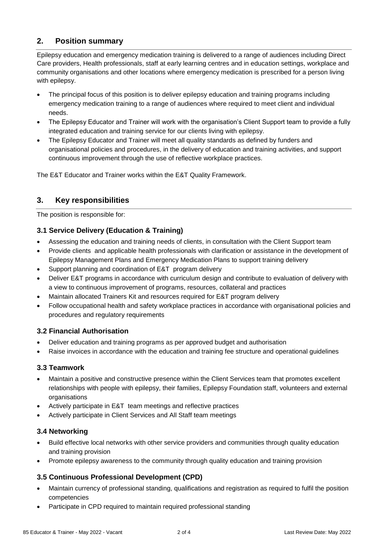# **2. Position summary**

Epilepsy education and emergency medication training is delivered to a range of audiences including Direct Care providers, Health professionals, staff at early learning centres and in education settings, workplace and community organisations and other locations where emergency medication is prescribed for a person living with epilepsy.

- The principal focus of this position is to deliver epilepsy education and training programs including emergency medication training to a range of audiences where required to meet client and individual needs.
- The Epilepsy Educator and Trainer will work with the organisation's Client Support team to provide a fully integrated education and training service for our clients living with epilepsy.
- The Epilepsy Educator and Trainer will meet all quality standards as defined by funders and organisational policies and procedures, in the delivery of education and training activities, and support continuous improvement through the use of reflective workplace practices.

The E&T Educator and Trainer works within the E&T Quality Framework.

# **3. Key responsibilities**

The position is responsible for:

# **3.1 Service Delivery (Education & Training)**

- Assessing the education and training needs of clients, in consultation with the Client Support team
- Provide clients and applicable health professionals with clarification or assistance in the development of Epilepsy Management Plans and Emergency Medication Plans to support training delivery
- Support planning and coordination of E&T program delivery
- Deliver E&T programs in accordance with curriculum design and contribute to evaluation of delivery with a view to continuous improvement of programs, resources, collateral and practices
- Maintain allocated Trainers Kit and resources required for E&T program delivery
- Follow occupational health and safety workplace practices in accordance with organisational policies and procedures and regulatory requirements

## **3.2 Financial Authorisation**

- Deliver education and training programs as per approved budget and authorisation
- Raise invoices in accordance with the education and training fee structure and operational guidelines

## **3.3 Teamwork**

- Maintain a positive and constructive presence within the Client Services team that promotes excellent relationships with people with epilepsy, their families, Epilepsy Foundation staff, volunteers and external organisations
- Actively participate in E&T team meetings and reflective practices
- Actively participate in Client Services and All Staff team meetings

## **3.4 Networking**

- Build effective local networks with other service providers and communities through quality education and training provision
- Promote epilepsy awareness to the community through quality education and training provision

# **3.5 Continuous Professional Development (CPD)**

- Maintain currency of professional standing, qualifications and registration as required to fulfil the position competencies
- Participate in CPD required to maintain required professional standing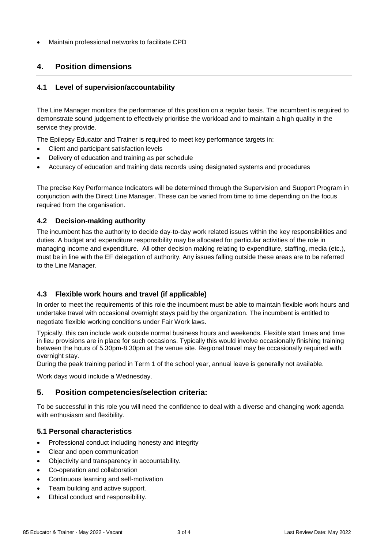• Maintain professional networks to facilitate CPD

# **4. Position dimensions**

### **4.1 Level of supervision/accountability**

The Line Manager monitors the performance of this position on a regular basis. The incumbent is required to demonstrate sound judgement to effectively prioritise the workload and to maintain a high quality in the service they provide.

The Epilepsy Educator and Trainer is required to meet key performance targets in:

- Client and participant satisfaction levels
- Delivery of education and training as per schedule
- Accuracy of education and training data records using designated systems and procedures

The precise Key Performance Indicators will be determined through the Supervision and Support Program in conjunction with the Direct Line Manager. These can be varied from time to time depending on the focus required from the organisation.

#### **4.2 Decision-making authority**

The incumbent has the authority to decide day-to-day work related issues within the key responsibilities and duties. A budget and expenditure responsibility may be allocated for particular activities of the role in managing income and expenditure. All other decision making relating to expenditure, staffing, media (etc.), must be in line with the EF delegation of authority. Any issues falling outside these areas are to be referred to the Line Manager.

## **4.3 Flexible work hours and travel (if applicable)**

In order to meet the requirements of this role the incumbent must be able to maintain flexible work hours and undertake travel with occasional overnight stays paid by the organization. The incumbent is entitled to negotiate flexible working conditions under Fair Work laws.

Typically, this can include work outside normal business hours and weekends. Flexible start times and time in lieu provisions are in place for such occasions. Typically this would involve occasionally finishing training between the hours of 5.30pm-8.30pm at the venue site. Regional travel may be occasionally required with overnight stay.

During the peak training period in Term 1 of the school year, annual leave is generally not available.

Work days would include a Wednesday.

## **5. Position competencies/selection criteria:**

To be successful in this role you will need the confidence to deal with a diverse and changing work agenda with enthusiasm and flexibility.

#### **5.1 Personal characteristics**

- Professional conduct including honesty and integrity
- Clear and open communication
- Objectivity and transparency in accountability.
- Co-operation and collaboration
- Continuous learning and self-motivation
- Team building and active support.
- Ethical conduct and responsibility.